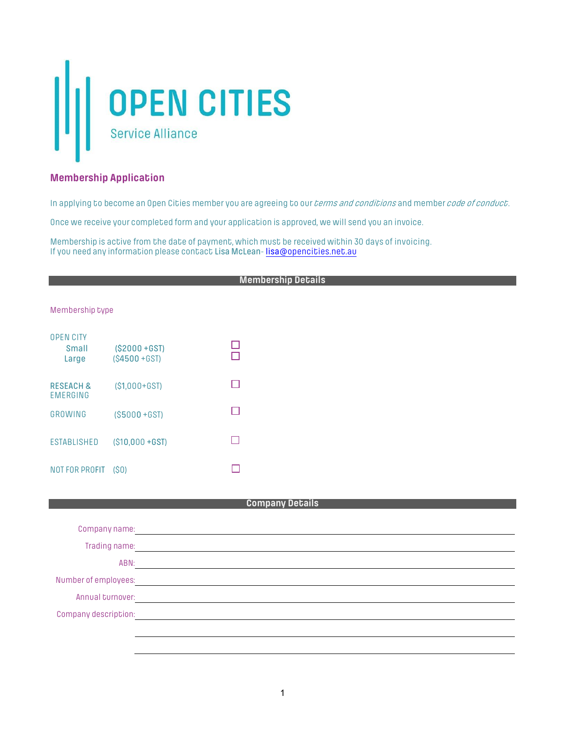

## **Membership Application**

In applying to become an Open Cities member you are agreeing to our *terms and conditions* and member *code of conduct*.

Once we receive your completed form and your application is approved, we will send you an invoice.

Membership is active from the date of payment, which must be received within 30 days of invoicing. If you need any information please contact Lisa McLean- lisa@opencities.net.au

#### **Membership Details**

#### Membership type

| <b>OPEN CITY</b><br>Small<br>Large      | $(S2000 + GST)$<br>$(S4500 + GST)$ |  |
|-----------------------------------------|------------------------------------|--|
| <b>RESEACH &amp;</b><br><b>FMERGING</b> | $(S1,000+GST)$                     |  |
| GROWING                                 | $(S5000 + GST)$                    |  |
| <b>ESTABLISHED</b>                      | $(S10,000 + GST)$                  |  |
| <b>NOT FOR PROFIT</b>                   | (S <sub>0</sub> )                  |  |

#### **Company Details**

| Company name:        |  |
|----------------------|--|
| Trading name:        |  |
| ABN:                 |  |
| Number of employees: |  |
| Annual turnover:     |  |
| Company description: |  |
|                      |  |
|                      |  |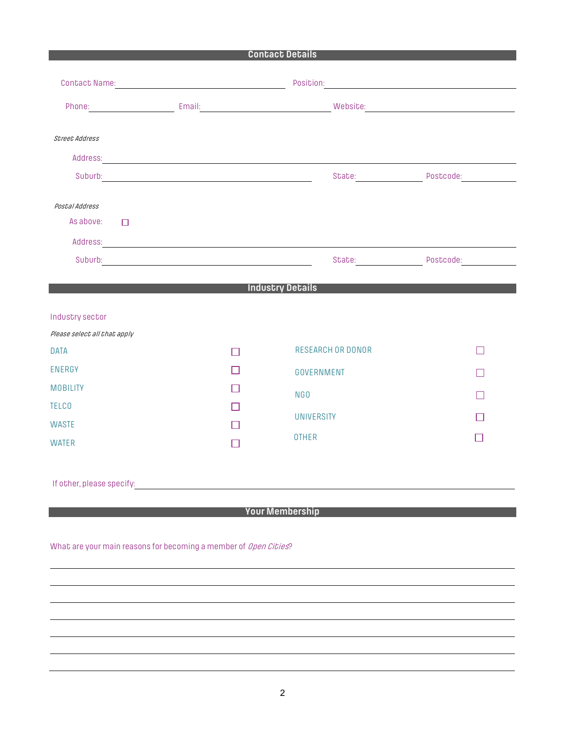### **Contact Details**

|                                                                  |  |                          | Position: And the contract of the contract of the contract of the contract of the contract of the contract of the contract of the contract of the contract of the contract of the contract of the contract of the contract of |  |  |
|------------------------------------------------------------------|--|--------------------------|-------------------------------------------------------------------------------------------------------------------------------------------------------------------------------------------------------------------------------|--|--|
|                                                                  |  |                          |                                                                                                                                                                                                                               |  |  |
| Street Address<br>Postal Address<br>As above:<br>$\Box$          |  |                          | State: Postcode:<br>State: Postcode:                                                                                                                                                                                          |  |  |
| Industry sector                                                  |  | <b>Industry Details</b>  |                                                                                                                                                                                                                               |  |  |
| Please select all that apply                                     |  |                          |                                                                                                                                                                                                                               |  |  |
| <b>DATA</b>                                                      |  | <b>RESEARCH OR DONOR</b> | H                                                                                                                                                                                                                             |  |  |
| <b>ENERGY</b>                                                    |  | GOVERNMENT               |                                                                                                                                                                                                                               |  |  |
| <b>MOBILITY</b>                                                  |  |                          |                                                                                                                                                                                                                               |  |  |
| <b>TELCO</b>                                                     |  | NG <sub>0</sub>          |                                                                                                                                                                                                                               |  |  |
| <b>WASTE</b>                                                     |  | <b>UNIVERSITY</b>        |                                                                                                                                                                                                                               |  |  |
| <b>WATER</b>                                                     |  | <b>OTHER</b>             |                                                                                                                                                                                                                               |  |  |
| If other, please specify:                                        |  |                          |                                                                                                                                                                                                                               |  |  |
|                                                                  |  | <b>Your Membership</b>   |                                                                                                                                                                                                                               |  |  |
| What are your main reasons for becoming a member of Open Cities? |  |                          |                                                                                                                                                                                                                               |  |  |
|                                                                  |  |                          |                                                                                                                                                                                                                               |  |  |